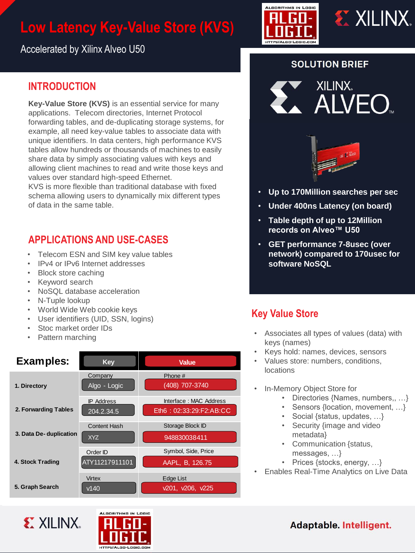# **Low Latency Key-Value Store (KVS)**





Accelerated by Xilinx Alveo U50

## **INTRODUCTION**

**Key-Value Store (KVS)** is an essential service for many applications. Telecom directories, Internet Protocol forwarding tables, and de-duplicating storage systems, for example, all need key-value tables to associate data with unique identifiers. In data centers, high performance KVS tables allow hundreds or thousands of machines to easily share data by simply associating values with keys and allowing client machines to read and write those keys and values over standard high-speed Ethernet.

KVS is more flexible than traditional database with fixed schema allowing users to dynamically mix different types of data in the same table.

# **APPLICATIONS AND USE-CASES**

- Telecom ESN and SIM key value tables
- IPv4 or IPv6 Internet addresses
- Block store caching
- Keyword search
- NoSQL database acceleration
- N-Tuple lookup
- World Wide Web cookie keys
- User identifiers (UID, SSN, logins)
- Stoc market order IDs
- Pattern marching



#### **SOLUTION BRIEF**





- **Up to 170Million searches per sec**
- **Under 400ns Latency (on board)**
- **Table depth of up to 12Million records on Alveo™ U50**
- **GET performance 7-8usec (over network) compared to 170usec for software NoSQL**

## **Key Value Store**

- Associates all types of values (data) with keys (names)
- Keys hold: names, devices, sensors
- Values store: numbers, conditions, locations
- In-Memory Object Store for
	- Directories {Names, numbers,, …}
	- Sensors {location, movement, …}
	- Social {status, updates, …}
	- Security {image and video metadata}
	- Communication {status, messages, …}
	- Prices {stocks, energy, ...}
	- Enables Real-Time Analytics on Live Data

Adaptable. Intelligent.